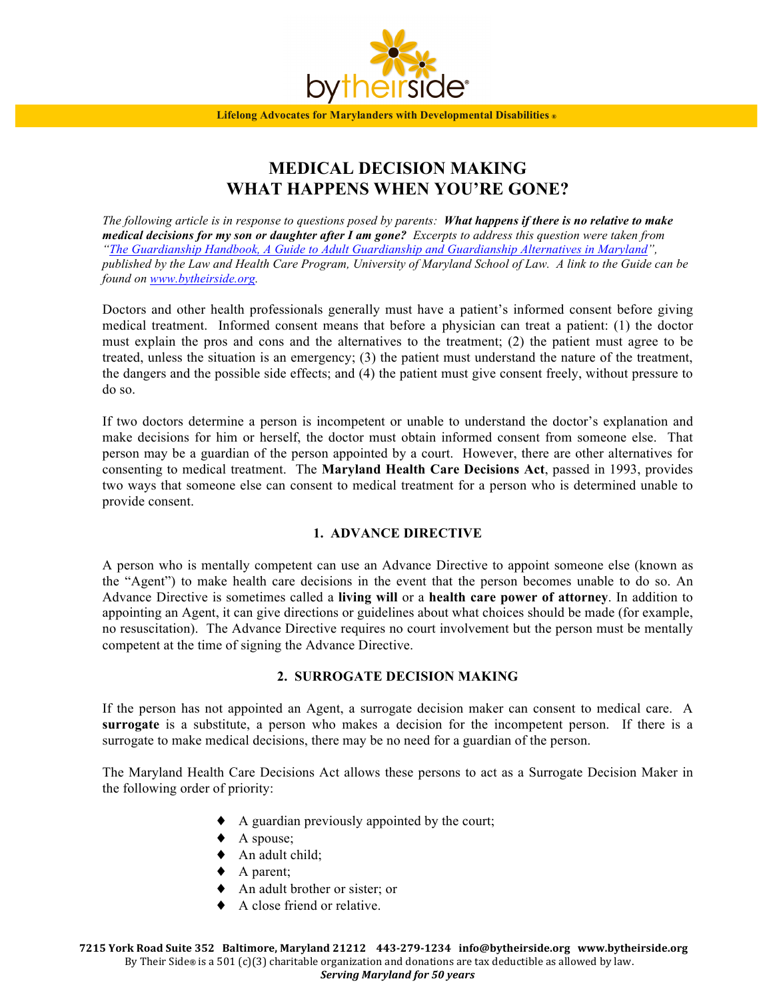

# **MEDICAL DECISION MAKING WHAT HAPPENS WHEN YOU'RE GONE?**

*The following article is in response to questions posed by parents: What happens if there is no relative to make medical decisions for my son or daughter after I am gone? Excerpts to address this question were taken from "The Guardianship Handbook, A Guide to Adult Guardianship and Guardianship Alternatives in Maryland", published by the Law and Health Care Program, University of Maryland School of Law. A link to the Guide can be found on www.bytheirside.org.* 

Doctors and other health professionals generally must have a patient's informed consent before giving medical treatment. Informed consent means that before a physician can treat a patient: (1) the doctor must explain the pros and cons and the alternatives to the treatment; (2) the patient must agree to be treated, unless the situation is an emergency; (3) the patient must understand the nature of the treatment, the dangers and the possible side effects; and (4) the patient must give consent freely, without pressure to do so.

If two doctors determine a person is incompetent or unable to understand the doctor's explanation and make decisions for him or herself, the doctor must obtain informed consent from someone else. That person may be a guardian of the person appointed by a court. However, there are other alternatives for consenting to medical treatment. The **Maryland Health Care Decisions Act**, passed in 1993, provides two ways that someone else can consent to medical treatment for a person who is determined unable to provide consent.

## **1. ADVANCE DIRECTIVE**

A person who is mentally competent can use an Advance Directive to appoint someone else (known as the "Agent") to make health care decisions in the event that the person becomes unable to do so. An Advance Directive is sometimes called a **living will** or a **health care power of attorney**. In addition to appointing an Agent, it can give directions or guidelines about what choices should be made (for example, no resuscitation). The Advance Directive requires no court involvement but the person must be mentally competent at the time of signing the Advance Directive.

## **2. SURROGATE DECISION MAKING**

If the person has not appointed an Agent, a surrogate decision maker can consent to medical care. A **surrogate** is a substitute, a person who makes a decision for the incompetent person. If there is a surrogate to make medical decisions, there may be no need for a guardian of the person.

The Maryland Health Care Decisions Act allows these persons to act as a Surrogate Decision Maker in the following order of priority:

- A guardian previously appointed by the court;
- ◆ A spouse;
- ♦ An adult child;
- $\blacklozenge$  A parent;
- ♦ An adult brother or sister; or
- ♦ A close friend or relative.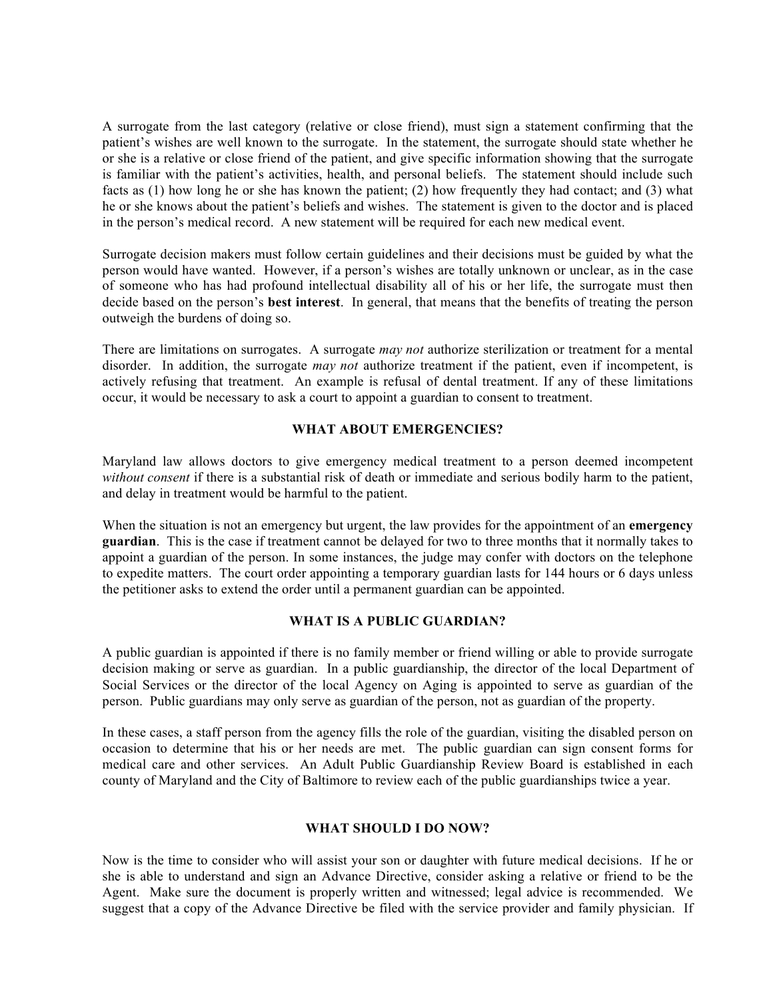A surrogate from the last category (relative or close friend), must sign a statement confirming that the patient's wishes are well known to the surrogate. In the statement, the surrogate should state whether he or she is a relative or close friend of the patient, and give specific information showing that the surrogate is familiar with the patient's activities, health, and personal beliefs. The statement should include such facts as (1) how long he or she has known the patient; (2) how frequently they had contact; and (3) what he or she knows about the patient's beliefs and wishes. The statement is given to the doctor and is placed in the person's medical record. A new statement will be required for each new medical event.

Surrogate decision makers must follow certain guidelines and their decisions must be guided by what the person would have wanted. However, if a person's wishes are totally unknown or unclear, as in the case of someone who has had profound intellectual disability all of his or her life, the surrogate must then decide based on the person's **best interest**. In general, that means that the benefits of treating the person outweigh the burdens of doing so.

There are limitations on surrogates. A surrogate *may not* authorize sterilization or treatment for a mental disorder. In addition, the surrogate *may not* authorize treatment if the patient, even if incompetent, is actively refusing that treatment. An example is refusal of dental treatment. If any of these limitations occur, it would be necessary to ask a court to appoint a guardian to consent to treatment.

## **WHAT ABOUT EMERGENCIES?**

Maryland law allows doctors to give emergency medical treatment to a person deemed incompetent *without consent* if there is a substantial risk of death or immediate and serious bodily harm to the patient, and delay in treatment would be harmful to the patient.

When the situation is not an emergency but urgent, the law provides for the appointment of an **emergency guardian**. This is the case if treatment cannot be delayed for two to three months that it normally takes to appoint a guardian of the person. In some instances, the judge may confer with doctors on the telephone to expedite matters. The court order appointing a temporary guardian lasts for 144 hours or 6 days unless the petitioner asks to extend the order until a permanent guardian can be appointed.

## **WHAT IS A PUBLIC GUARDIAN?**

A public guardian is appointed if there is no family member or friend willing or able to provide surrogate decision making or serve as guardian. In a public guardianship, the director of the local Department of Social Services or the director of the local Agency on Aging is appointed to serve as guardian of the person. Public guardians may only serve as guardian of the person, not as guardian of the property.

In these cases, a staff person from the agency fills the role of the guardian, visiting the disabled person on occasion to determine that his or her needs are met. The public guardian can sign consent forms for medical care and other services. An Adult Public Guardianship Review Board is established in each county of Maryland and the City of Baltimore to review each of the public guardianships twice a year.

## **WHAT SHOULD I DO NOW?**

Now is the time to consider who will assist your son or daughter with future medical decisions. If he or she is able to understand and sign an Advance Directive, consider asking a relative or friend to be the Agent. Make sure the document is properly written and witnessed; legal advice is recommended. We suggest that a copy of the Advance Directive be filed with the service provider and family physician. If